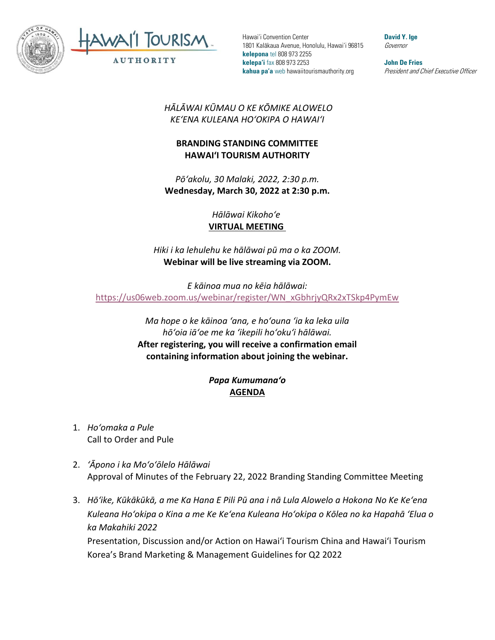



Hawai'i Convention Center 1801 Kalākaua Avenue, Honolulu, Hawai'i 96815 **kelepona** tel 808 973 2255 **kelepa'i** fax 808 973 2253 **kahua pa'a** web hawaiitourismauthority.org

**David Y. Ige** Governor

**John De Fries** President and Chief Executive Officer

*HĀLĀWAI KŪMAU O KE KŌMIKE ALOWELO KEʻENA KULEANA HOʻOKIPA O HAWAIʻI* 

## **BRANDING STANDING COMMITTEE HAWAI'I TOURISM AUTHORITY**

*Pōʻakolu, 30 Malaki, 2022, 2:30 p.m.* **Wednesday, March 30, 2022 at 2:30 p.m.**

> *Hālāwai Kikohoʻe* **VIRTUAL MEETING**

*Hiki i ka lehulehu ke hālāwai pū ma o ka ZOOM.* **Webinar will be live streaming via ZOOM.**

*E kāinoa mua no kēia hālāwai:* [https://us06web.zoom.us/webinar/register/WN\\_xGbhrjyQRx2xTSkp4PymEw](https://us06web.zoom.us/webinar/register/WN_xGbhrjyQRx2xTSkp4PymEw)

> *Ma hope o ke kāinoa ʻana, e hoʻouna ʻia ka leka uila hōʻoia iāʻoe me ka ʻikepili hoʻokuʻi hālāwai.*  **After registering, you will receive a confirmation email containing information about joining the webinar.**

## *Papa Kumumanaʻo* **AGENDA**

- 1. *Hoʻomaka a Pule* Call to Order and Pule
- 2. *ʻĀpono i ka Moʻoʻōlelo Hālāwai* Approval of Minutes of the February 22, 2022 Branding Standing Committee Meeting
- 3. *Hōʻike, Kūkākūkā, a me Ka Hana E Pili Pū ana i nā Lula Alowelo a Hokona No Ke Keʻena Kuleana Hoʻokipa o Kina a me Ke Keʻena Kuleana Hoʻokipa o Kōlea no ka Hapahā ʻElua o ka Makahiki 2022*

Presentation, Discussion and/or Action on Hawaiʻi Tourism China and Hawai'i Tourism Korea's Brand Marketing & Management Guidelines for Q2 2022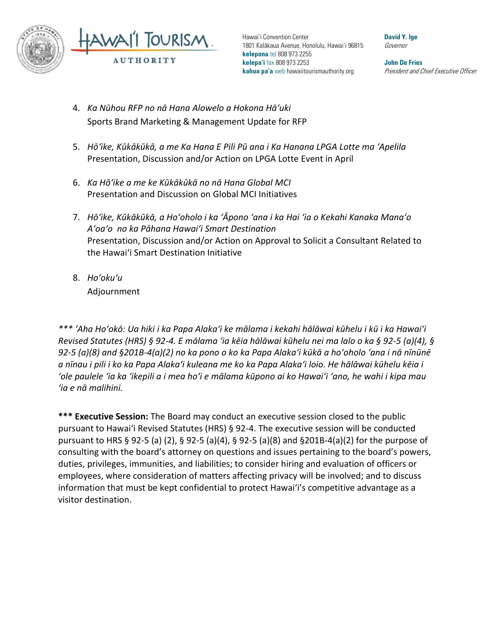

Hawai'i Convention Center 1801 Kalākaua Avenue, Honolulu, Hawai'i 96815 **kelepona** tel 808 973 2255 **kelepa'i** fax 808 973 2253 **kahua pa'a** web hawaiitourismauthority.org

**John De Fries** President and Chief Executive Officer

**David Y. Ige** Governor

- 4. *Ka Nūhou RFP no nā Hana Alowelo a Hokona Hāʻuki*  Sports Brand Marketing & Management Update for RFP
- 5. *Hōʻike, Kūkākūkā, a me Ka Hana E Pili Pū ana i Ka Hanana LPGA Lotte ma ʻApelila* Presentation, Discussion and/or Action on LPGA Lotte Event in April
- 6. *Ka Hōʻike a me ke Kūkākūkā no nā Hana Global MCI* Presentation and Discussion on Global MCI Initiatives
- 7. *Hōʻike, Kūkākūkā, a Hoʻoholo i ka ʻĀpono ʻana i ka Hai ʻia o Kekahi Kanaka Manaʻo Aʻoaʻo no ka Pāhana Hawaiʻi Smart Destination* Presentation, Discussion and/or Action on Approval to Solicit a Consultant Related to the Hawai'i Smart Destination Initiative
- 8. *Hoʻokuʻu* Adjournment

*\*\*\* ʻAha Hoʻokō: Ua hiki i ka Papa Alakaʻi ke mālama i kekahi hālāwai kūhelu i kū i ka Hawaiʻi Revised Statutes (HRS) § 92-4. E mālama ʻia kēia hālāwai kūhelu nei ma lalo o ka § 92-5 (a)(4), § 92-5 (a)(8) and §201B-4(a)(2) no ka pono o ko ka Papa Alakaʻi kūkā a hoʻoholo ʻana i nā nīnūnē a nīnau i pili i ko ka Papa Alakaʻi kuleana me ko ka Papa Alakaʻi loio. He hālāwai kūhelu kēia i ʻole paulele ʻia ka ʻikepili a i mea hoʻi e mālama kūpono ai ko Hawaiʻi ʻano, he wahi i kipa mau ʻia e nā malihini.*

**\*\*\* Executive Session:** The Board may conduct an executive session closed to the public pursuant to Hawai'i Revised Statutes (HRS) § 92-4. The executive session will be conducted pursuant to HRS § 92-5 (a) (2), § 92-5 (a)(4), § 92-5 (a)(8) and §201B-4(a)(2) for the purpose of consulting with the board's attorney on questions and issues pertaining to the board's powers, duties, privileges, immunities, and liabilities; to consider hiring and evaluation of officers or employees, where consideration of matters affecting privacy will be involved; and to discuss information that must be kept confidential to protect Hawai'i's competitive advantage as a visitor destination.